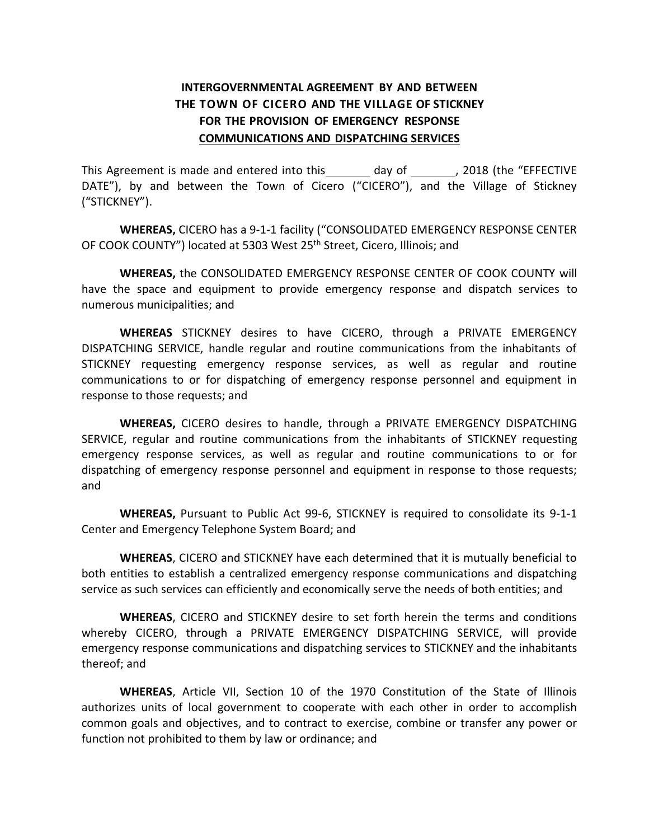# **INTERGOVERNMENTAL AGREEMENT BY AND BETWEEN THE TOWN OF CICERO AND THE VILLAGE OF STICKNEY FOR THE PROVISION OF EMERGENCY RESPONSE COMMUNICATIONS AND DISPATCHING SERVICES**

This Agreement is made and entered into this day of the "EFFECTIVE" DATE"), by and between the Town of Cicero ("CICERO"), and the Village of Stickney ("STICKNEY").

**WHEREAS,** CICERO has a 9-1-1 facility ("CONSOLIDATED EMERGENCY RESPONSE CENTER OF COOK COUNTY") located at 5303 West 25<sup>th</sup> Street, Cicero, Illinois; and

**WHEREAS,** the CONSOLIDATED EMERGENCY RESPONSE CENTER OF COOK COUNTY will have the space and equipment to provide emergency response and dispatch services to numerous municipalities; and

**WHEREAS** STICKNEY desires to have CICERO, through a PRIVATE EMERGENCY DISPATCHING SERVICE, handle regular and routine communications from the inhabitants of STICKNEY requesting emergency response services, as well as regular and routine communications to or for dispatching of emergency response personnel and equipment in response to those requests; and

**WHEREAS,** CICERO desires to handle, through a PRIVATE EMERGENCY DISPATCHING SERVICE, regular and routine communications from the inhabitants of STICKNEY requesting emergency response services, as well as regular and routine communications to or for dispatching of emergency response personnel and equipment in response to those requests; and

**WHEREAS,** Pursuant to Public Act 99-6, STICKNEY is required to consolidate its 9-1-1 Center and Emergency Telephone System Board; and

**WHEREAS**, CICERO and STICKNEY have each determined that it is mutually beneficial to both entities to establish a centralized emergency response communications and dispatching service as such services can efficiently and economically serve the needs of both entities; and

**WHEREAS**, CICERO and STICKNEY desire to set forth herein the terms and conditions whereby CICERO, through a PRIVATE EMERGENCY DISPATCHING SERVICE, will provide emergency response communications and dispatching services to STICKNEY and the inhabitants thereof; and

**WHEREAS**, Article VII, Section 10 of the 1970 Constitution of the State of Illinois authorizes units of local government to cooperate with each other in order to accomplish common goals and objectives, and to contract to exercise, combine or transfer any power or function not prohibited to them by law or ordinance; and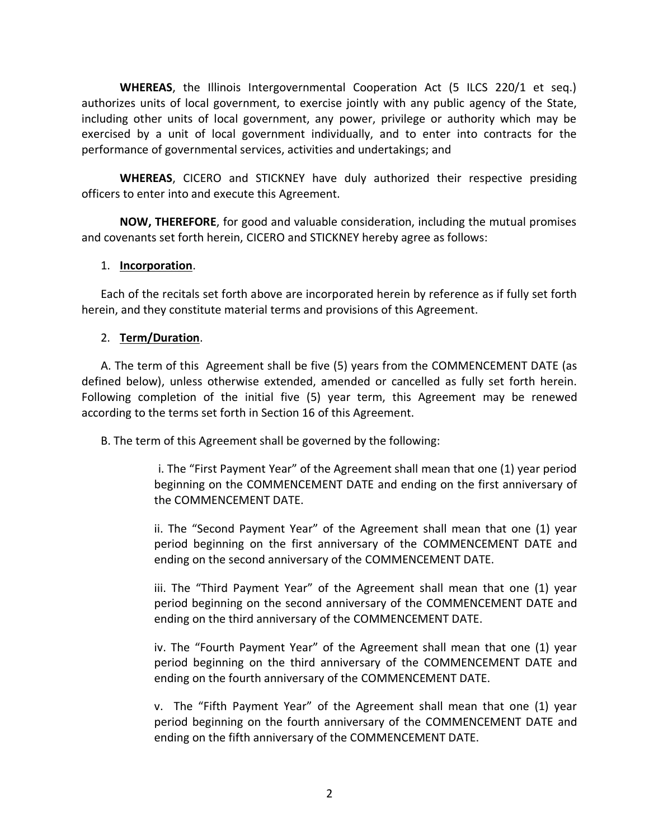**WHEREAS**, the Illinois Intergovernmental Cooperation Act (5 ILCS 220/1 et seq.) authorizes units of local government, to exercise jointly with any public agency of the State, including other units of local government, any power, privilege or authority which may be exercised by a unit of local government individually, and to enter into contracts for the performance of governmental services, activities and undertakings; and

**WHEREAS**, CICERO and STICKNEY have duly authorized their respective presiding officers to enter into and execute this Agreement.

**NOW, THEREFORE**, for good and valuable consideration, including the mutual promises and covenants set forth herein, CICERO and STICKNEY hereby agree as follows:

#### 1. **Incorporation**.

Each of the recitals set forth above are incorporated herein by reference as if fully set forth herein, and they constitute material terms and provisions of this Agreement.

### 2. **Term/Duration**.

A. The term of this Agreement shall be five (5) years from the COMMENCEMENT DATE (as defined below), unless otherwise extended, amended or cancelled as fully set forth herein. Following completion of the initial five (5) year term, this Agreement may be renewed according to the terms set forth in Section 16 of this Agreement.

B. The term of this Agreement shall be governed by the following:

i. The "First Payment Year" of the Agreement shall mean that one (1) year period beginning on the COMMENCEMENT DATE and ending on the first anniversary of the COMMENCEMENT DATE.

ii. The "Second Payment Year" of the Agreement shall mean that one (1) year period beginning on the first anniversary of the COMMENCEMENT DATE and ending on the second anniversary of the COMMENCEMENT DATE.

iii. The "Third Payment Year" of the Agreement shall mean that one (1) year period beginning on the second anniversary of the COMMENCEMENT DATE and ending on the third anniversary of the COMMENCEMENT DATE.

iv. The "Fourth Payment Year" of the Agreement shall mean that one (1) year period beginning on the third anniversary of the COMMENCEMENT DATE and ending on the fourth anniversary of the COMMENCEMENT DATE.

v. The "Fifth Payment Year" of the Agreement shall mean that one (1) year period beginning on the fourth anniversary of the COMMENCEMENT DATE and ending on the fifth anniversary of the COMMENCEMENT DATE.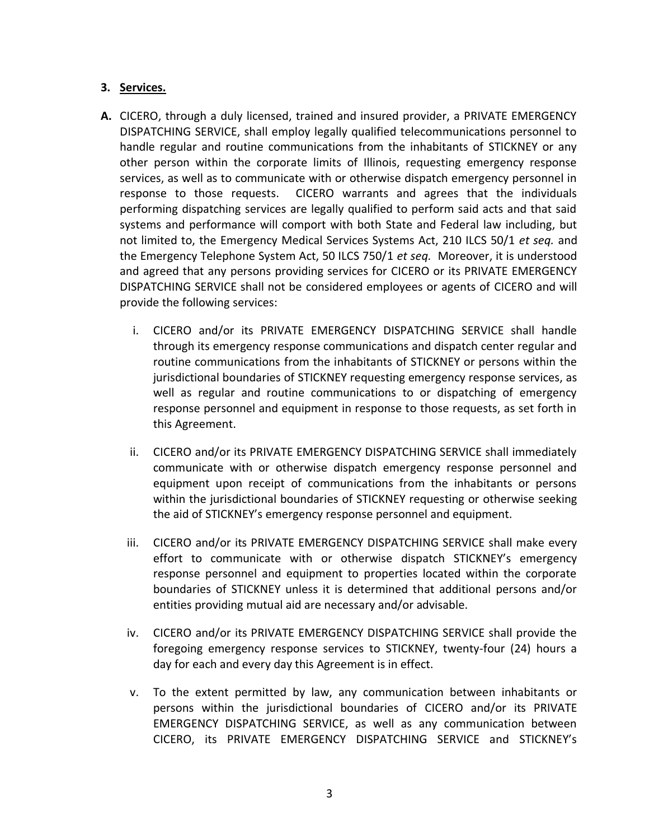## **3. Services.**

- **A.** CICERO, through a duly licensed, trained and insured provider, a PRIVATE EMERGENCY DISPATCHING SERVICE, shall employ legally qualified telecommunications personnel to handle regular and routine communications from the inhabitants of STICKNEY or any other person within the corporate limits of Illinois, requesting emergency response services, as well as to communicate with or otherwise dispatch emergency personnel in response to those requests. CICERO warrants and agrees that the individuals performing dispatching services are legally qualified to perform said acts and that said systems and performance will comport with both State and Federal law including, but not limited to, the Emergency Medical Services Systems Act, 210 ILCS 50/1 *et seq.* and the Emergency Telephone System Act, 50 ILCS 750/1 *et seq.* Moreover, it is understood and agreed that any persons providing services for CICERO or its PRIVATE EMERGENCY DISPATCHING SERVICE shall not be considered employees or agents of CICERO and will provide the following services:
	- i. CICERO and/or its PRIVATE EMERGENCY DISPATCHING SERVICE shall handle through its emergency response communications and dispatch center regular and routine communications from the inhabitants of STICKNEY or persons within the jurisdictional boundaries of STICKNEY requesting emergency response services, as well as regular and routine communications to or dispatching of emergency response personnel and equipment in response to those requests, as set forth in this Agreement.
	- ii. CICERO and/or its PRIVATE EMERGENCY DISPATCHING SERVICE shall immediately communicate with or otherwise dispatch emergency response personnel and equipment upon receipt of communications from the inhabitants or persons within the jurisdictional boundaries of STICKNEY requesting or otherwise seeking the aid of STICKNEY's emergency response personnel and equipment.
	- iii. CICERO and/or its PRIVATE EMERGENCY DISPATCHING SERVICE shall make every effort to communicate with or otherwise dispatch STICKNEY's emergency response personnel and equipment to properties located within the corporate boundaries of STICKNEY unless it is determined that additional persons and/or entities providing mutual aid are necessary and/or advisable.
	- iv. CICERO and/or its PRIVATE EMERGENCY DISPATCHING SERVICE shall provide the foregoing emergency response services to STICKNEY, twenty-four (24) hours a day for each and every day this Agreement is in effect.
	- v. To the extent permitted by law, any communication between inhabitants or persons within the jurisdictional boundaries of CICERO and/or its PRIVATE EMERGENCY DISPATCHING SERVICE, as well as any communication between CICERO, its PRIVATE EMERGENCY DISPATCHING SERVICE and STICKNEY's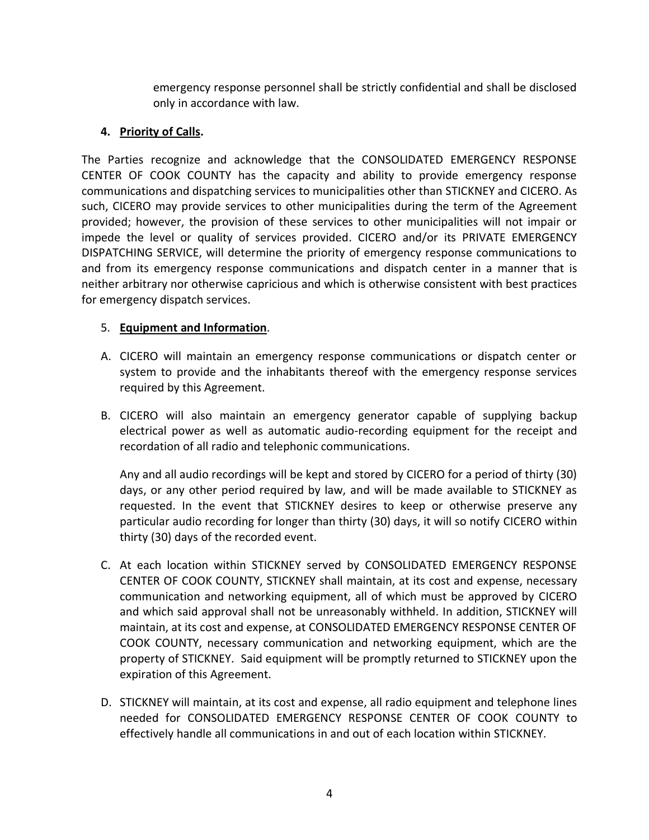emergency response personnel shall be strictly confidential and shall be disclosed only in accordance with law.

# **4. Priority of Calls.**

The Parties recognize and acknowledge that the CONSOLIDATED EMERGENCY RESPONSE CENTER OF COOK COUNTY has the capacity and ability to provide emergency response communications and dispatching services to municipalities other than STICKNEY and CICERO. As such, CICERO may provide services to other municipalities during the term of the Agreement provided; however, the provision of these services to other municipalities will not impair or impede the level or quality of services provided. CICERO and/or its PRIVATE EMERGENCY DISPATCHING SERVICE, will determine the priority of emergency response communications to and from its emergency response communications and dispatch center in a manner that is neither arbitrary nor otherwise capricious and which is otherwise consistent with best practices for emergency dispatch services.

## 5. **Equipment and Information**.

- A. CICERO will maintain an emergency response communications or dispatch center or system to provide and the inhabitants thereof with the emergency response services required by this Agreement.
- B. CICERO will also maintain an emergency generator capable of supplying backup electrical power as well as automatic audio-recording equipment for the receipt and recordation of all radio and telephonic communications.

Any and all audio recordings will be kept and stored by CICERO for a period of thirty (30) days, or any other period required by law, and will be made available to STICKNEY as requested. In the event that STICKNEY desires to keep or otherwise preserve any particular audio recording for longer than thirty (30) days, it will so notify CICERO within thirty (30) days of the recorded event.

- C. At each location within STICKNEY served by CONSOLIDATED EMERGENCY RESPONSE CENTER OF COOK COUNTY, STICKNEY shall maintain, at its cost and expense, necessary communication and networking equipment, all of which must be approved by CICERO and which said approval shall not be unreasonably withheld. In addition, STICKNEY will maintain, at its cost and expense, at CONSOLIDATED EMERGENCY RESPONSE CENTER OF COOK COUNTY, necessary communication and networking equipment, which are the property of STICKNEY. Said equipment will be promptly returned to STICKNEY upon the expiration of this Agreement.
- D. STICKNEY will maintain, at its cost and expense, all radio equipment and telephone lines needed for CONSOLIDATED EMERGENCY RESPONSE CENTER OF COOK COUNTY to effectively handle all communications in and out of each location within STICKNEY.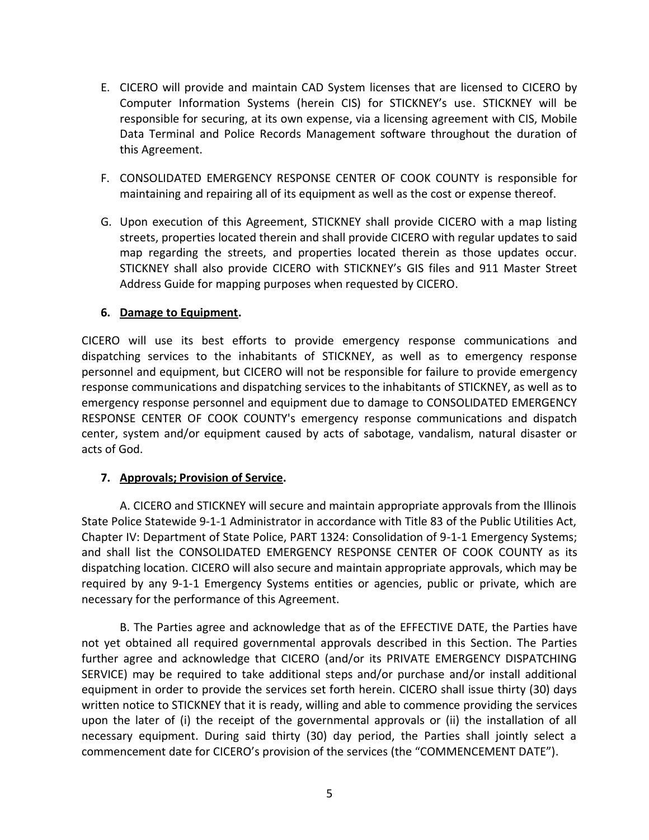- E. CICERO will provide and maintain CAD System licenses that are licensed to CICERO by Computer Information Systems (herein CIS) for STICKNEY's use. STICKNEY will be responsible for securing, at its own expense, via a licensing agreement with CIS, Mobile Data Terminal and Police Records Management software throughout the duration of this Agreement.
- F. CONSOLIDATED EMERGENCY RESPONSE CENTER OF COOK COUNTY is responsible for maintaining and repairing all of its equipment as well as the cost or expense thereof.
- G. Upon execution of this Agreement, STICKNEY shall provide CICERO with a map listing streets, properties located therein and shall provide CICERO with regular updates to said map regarding the streets, and properties located therein as those updates occur. STICKNEY shall also provide CICERO with STICKNEY's GIS files and 911 Master Street Address Guide for mapping purposes when requested by CICERO.

### **6. Damage to Equipment.**

CICERO will use its best efforts to provide emergency response communications and dispatching services to the inhabitants of STICKNEY, as well as to emergency response personnel and equipment, but CICERO will not be responsible for failure to provide emergency response communications and dispatching services to the inhabitants of STICKNEY, as well as to emergency response personnel and equipment due to damage to CONSOLIDATED EMERGENCY RESPONSE CENTER OF COOK COUNTY's emergency response communications and dispatch center, system and/or equipment caused by acts of sabotage, vandalism, natural disaster or acts of God.

#### **7. Approvals; Provision of Service.**

A. CICERO and STICKNEY will secure and maintain appropriate approvals from the Illinois State Police Statewide 9-1-1 Administrator in accordance with Title 83 of the Public Utilities Act, Chapter IV: Department of State Police, PART 1324: Consolidation of 9-1-1 Emergency Systems; and shall list the CONSOLIDATED EMERGENCY RESPONSE CENTER OF COOK COUNTY as its dispatching location. CICERO will also secure and maintain appropriate approvals, which may be required by any 9-1-1 Emergency Systems entities or agencies, public or private, which are necessary for the performance of this Agreement.

B. The Parties agree and acknowledge that as of the EFFECTIVE DATE, the Parties have not yet obtained all required governmental approvals described in this Section. The Parties further agree and acknowledge that CICERO (and/or its PRIVATE EMERGENCY DISPATCHING SERVICE) may be required to take additional steps and/or purchase and/or install additional equipment in order to provide the services set forth herein. CICERO shall issue thirty (30) days written notice to STICKNEY that it is ready, willing and able to commence providing the services upon the later of (i) the receipt of the governmental approvals or (ii) the installation of all necessary equipment. During said thirty (30) day period, the Parties shall jointly select a commencement date for CICERO's provision of the services (the "COMMENCEMENT DATE").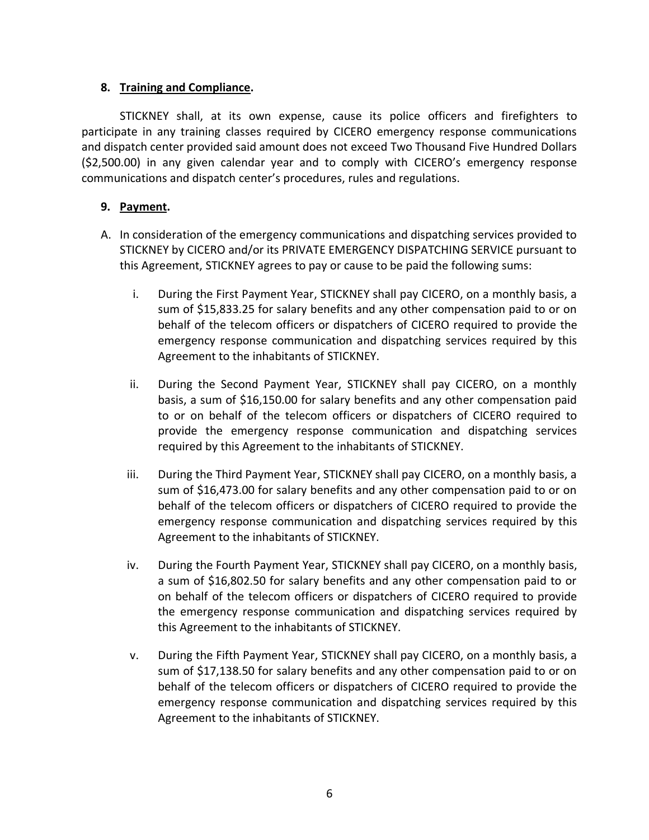## **8. Training and Compliance.**

STICKNEY shall, at its own expense, cause its police officers and firefighters to participate in any training classes required by CICERO emergency response communications and dispatch center provided said amount does not exceed Two Thousand Five Hundred Dollars (\$2,500.00) in any given calendar year and to comply with CICERO's emergency response communications and dispatch center's procedures, rules and regulations.

# **9. Payment.**

- A. In consideration of the emergency communications and dispatching services provided to STICKNEY by CICERO and/or its PRIVATE EMERGENCY DISPATCHING SERVICE pursuant to this Agreement, STICKNEY agrees to pay or cause to be paid the following sums:
	- i. During the First Payment Year, STICKNEY shall pay CICERO, on a monthly basis, a sum of \$15,833.25 for salary benefits and any other compensation paid to or on behalf of the telecom officers or dispatchers of CICERO required to provide the emergency response communication and dispatching services required by this Agreement to the inhabitants of STICKNEY.
	- ii. During the Second Payment Year, STICKNEY shall pay CICERO, on a monthly basis, a sum of \$16,150.00 for salary benefits and any other compensation paid to or on behalf of the telecom officers or dispatchers of CICERO required to provide the emergency response communication and dispatching services required by this Agreement to the inhabitants of STICKNEY.
	- iii. During the Third Payment Year, STICKNEY shall pay CICERO, on a monthly basis, a sum of \$16,473.00 for salary benefits and any other compensation paid to or on behalf of the telecom officers or dispatchers of CICERO required to provide the emergency response communication and dispatching services required by this Agreement to the inhabitants of STICKNEY.
	- iv. During the Fourth Payment Year, STICKNEY shall pay CICERO, on a monthly basis, a sum of \$16,802.50 for salary benefits and any other compensation paid to or on behalf of the telecom officers or dispatchers of CICERO required to provide the emergency response communication and dispatching services required by this Agreement to the inhabitants of STICKNEY.
	- v. During the Fifth Payment Year, STICKNEY shall pay CICERO, on a monthly basis, a sum of \$17,138.50 for salary benefits and any other compensation paid to or on behalf of the telecom officers or dispatchers of CICERO required to provide the emergency response communication and dispatching services required by this Agreement to the inhabitants of STICKNEY.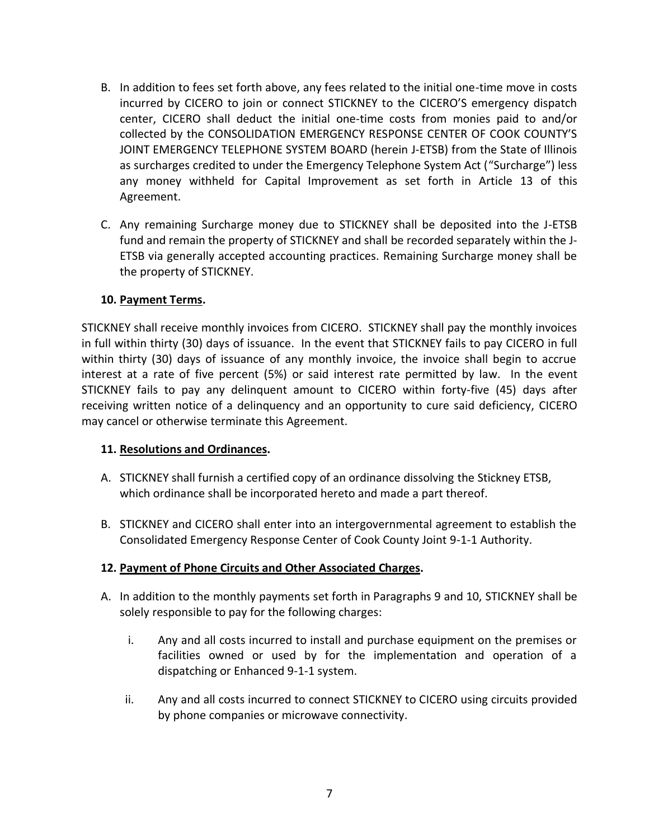- B. In addition to fees set forth above, any fees related to the initial one-time move in costs incurred by CICERO to join or connect STICKNEY to the CICERO'S emergency dispatch center, CICERO shall deduct the initial one-time costs from monies paid to and/or collected by the CONSOLIDATION EMERGENCY RESPONSE CENTER OF COOK COUNTY'S JOINT EMERGENCY TELEPHONE SYSTEM BOARD (herein J-ETSB) from the State of Illinois as surcharges credited to under the Emergency Telephone System Act ("Surcharge") less any money withheld for Capital Improvement as set forth in Article 13 of this Agreement.
- C. Any remaining Surcharge money due to STICKNEY shall be deposited into the J-ETSB fund and remain the property of STICKNEY and shall be recorded separately within the J-ETSB via generally accepted accounting practices. Remaining Surcharge money shall be the property of STICKNEY.

### **10. Payment Terms.**

STICKNEY shall receive monthly invoices from CICERO. STICKNEY shall pay the monthly invoices in full within thirty (30) days of issuance. In the event that STICKNEY fails to pay CICERO in full within thirty (30) days of issuance of any monthly invoice, the invoice shall begin to accrue interest at a rate of five percent (5%) or said interest rate permitted by law. In the event STICKNEY fails to pay any delinquent amount to CICERO within forty-five (45) days after receiving written notice of a delinquency and an opportunity to cure said deficiency, CICERO may cancel or otherwise terminate this Agreement.

#### **11. Resolutions and Ordinances.**

- A. STICKNEY shall furnish a certified copy of an ordinance dissolving the Stickney ETSB, which ordinance shall be incorporated hereto and made a part thereof.
- B. STICKNEY and CICERO shall enter into an intergovernmental agreement to establish the Consolidated Emergency Response Center of Cook County Joint 9-1-1 Authority.

## **12. Payment of Phone Circuits and Other Associated Charges.**

- A. In addition to the monthly payments set forth in Paragraphs 9 and 10, STICKNEY shall be solely responsible to pay for the following charges:
	- i. Any and all costs incurred to install and purchase equipment on the premises or facilities owned or used by for the implementation and operation of a dispatching or Enhanced 9-1-1 system.
	- ii. Any and all costs incurred to connect STICKNEY to CICERO using circuits provided by phone companies or microwave connectivity.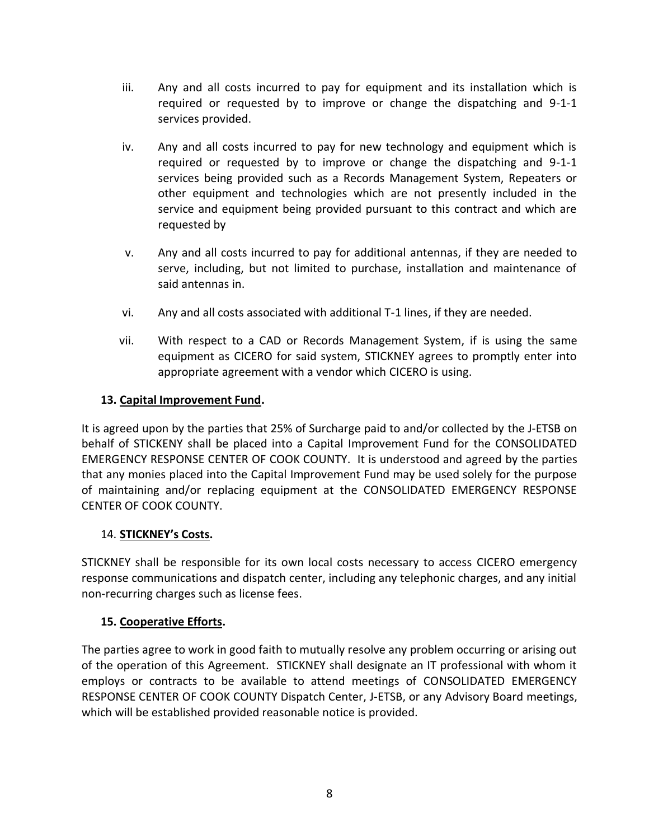- iii. Any and all costs incurred to pay for equipment and its installation which is required or requested by to improve or change the dispatching and 9-1-1 services provided.
- iv. Any and all costs incurred to pay for new technology and equipment which is required or requested by to improve or change the dispatching and 9-1-1 services being provided such as a Records Management System, Repeaters or other equipment and technologies which are not presently included in the service and equipment being provided pursuant to this contract and which are requested by
- v. Any and all costs incurred to pay for additional antennas, if they are needed to serve, including, but not limited to purchase, installation and maintenance of said antennas in.
- vi. Any and all costs associated with additional T-1 lines, if they are needed.
- vii. With respect to a CAD or Records Management System, if is using the same equipment as CICERO for said system, STICKNEY agrees to promptly enter into appropriate agreement with a vendor which CICERO is using.

#### **13. Capital Improvement Fund.**

It is agreed upon by the parties that 25% of Surcharge paid to and/or collected by the J-ETSB on behalf of STICKENY shall be placed into a Capital Improvement Fund for the CONSOLIDATED EMERGENCY RESPONSE CENTER OF COOK COUNTY. It is understood and agreed by the parties that any monies placed into the Capital Improvement Fund may be used solely for the purpose of maintaining and/or replacing equipment at the CONSOLIDATED EMERGENCY RESPONSE CENTER OF COOK COUNTY.

#### 14. **STICKNEY's Costs.**

STICKNEY shall be responsible for its own local costs necessary to access CICERO emergency response communications and dispatch center, including any telephonic charges, and any initial non-recurring charges such as license fees.

#### **15. Cooperative Efforts.**

The parties agree to work in good faith to mutually resolve any problem occurring or arising out of the operation of this Agreement. STICKNEY shall designate an IT professional with whom it employs or contracts to be available to attend meetings of CONSOLIDATED EMERGENCY RESPONSE CENTER OF COOK COUNTY Dispatch Center, J-ETSB, or any Advisory Board meetings, which will be established provided reasonable notice is provided.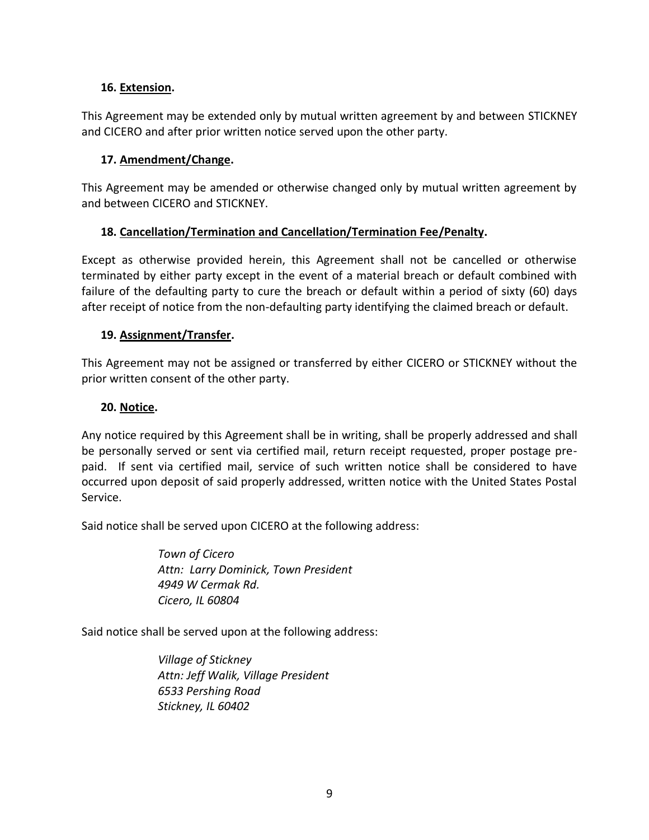## **16. Extension.**

This Agreement may be extended only by mutual written agreement by and between STICKNEY and CICERO and after prior written notice served upon the other party.

### **17. Amendment/Change.**

This Agreement may be amended or otherwise changed only by mutual written agreement by and between CICERO and STICKNEY.

### **18. Cancellation/Termination and Cancellation/Termination Fee/Penalty.**

Except as otherwise provided herein, this Agreement shall not be cancelled or otherwise terminated by either party except in the event of a material breach or default combined with failure of the defaulting party to cure the breach or default within a period of sixty (60) days after receipt of notice from the non-defaulting party identifying the claimed breach or default.

### **19. Assignment/Transfer.**

This Agreement may not be assigned or transferred by either CICERO or STICKNEY without the prior written consent of the other party.

### **20. Notice.**

Any notice required by this Agreement shall be in writing, shall be properly addressed and shall be personally served or sent via certified mail, return receipt requested, proper postage prepaid. If sent via certified mail, service of such written notice shall be considered to have occurred upon deposit of said properly addressed, written notice with the United States Postal Service.

Said notice shall be served upon CICERO at the following address:

*Town of Cicero Attn: Larry Dominick, Town President 4949 W Cermak Rd. Cicero, IL 60804*

Said notice shall be served upon at the following address:

*Village of Stickney Attn: Jeff Walik, Village President 6533 Pershing Road Stickney, IL 60402*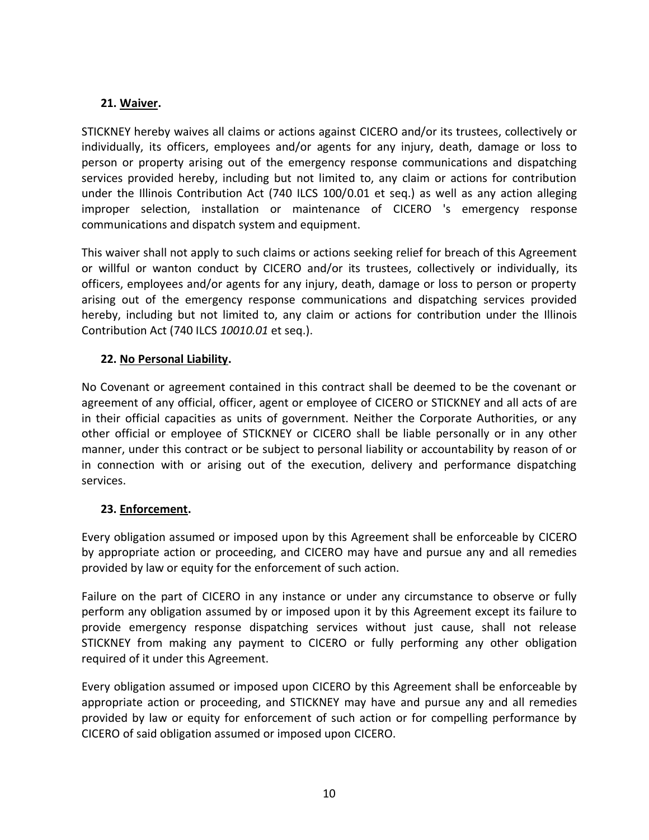## **21. Waiver.**

STICKNEY hereby waives all claims or actions against CICERO and/or its trustees, collectively or individually, its officers, employees and/or agents for any injury, death, damage or loss to person or property arising out of the emergency response communications and dispatching services provided hereby, including but not limited to, any claim or actions for contribution under the Illinois Contribution Act (740 ILCS 100/0.01 et seq.) as well as any action alleging improper selection, installation or maintenance of CICERO 's emergency response communications and dispatch system and equipment.

This waiver shall not apply to such claims or actions seeking relief for breach of this Agreement or willful or wanton conduct by CICERO and/or its trustees, collectively or individually, its officers, employees and/or agents for any injury, death, damage or loss to person or property arising out of the emergency response communications and dispatching services provided hereby, including but not limited to, any claim or actions for contribution under the Illinois Contribution Act (740 ILCS *10010.01* et seq.).

# **22. No Personal Liability.**

No Covenant or agreement contained in this contract shall be deemed to be the covenant or agreement of any official, officer, agent or employee of CICERO or STICKNEY and all acts of are in their official capacities as units of government. Neither the Corporate Authorities, or any other official or employee of STICKNEY or CICERO shall be liable personally or in any other manner, under this contract or be subject to personal liability or accountability by reason of or in connection with or arising out of the execution, delivery and performance dispatching services.

## **23. Enforcement.**

Every obligation assumed or imposed upon by this Agreement shall be enforceable by CICERO by appropriate action or proceeding, and CICERO may have and pursue any and all remedies provided by law or equity for the enforcement of such action.

Failure on the part of CICERO in any instance or under any circumstance to observe or fully perform any obligation assumed by or imposed upon it by this Agreement except its failure to provide emergency response dispatching services without just cause, shall not release STICKNEY from making any payment to CICERO or fully performing any other obligation required of it under this Agreement.

Every obligation assumed or imposed upon CICERO by this Agreement shall be enforceable by appropriate action or proceeding, and STICKNEY may have and pursue any and all remedies provided by law or equity for enforcement of such action or for compelling performance by CICERO of said obligation assumed or imposed upon CICERO.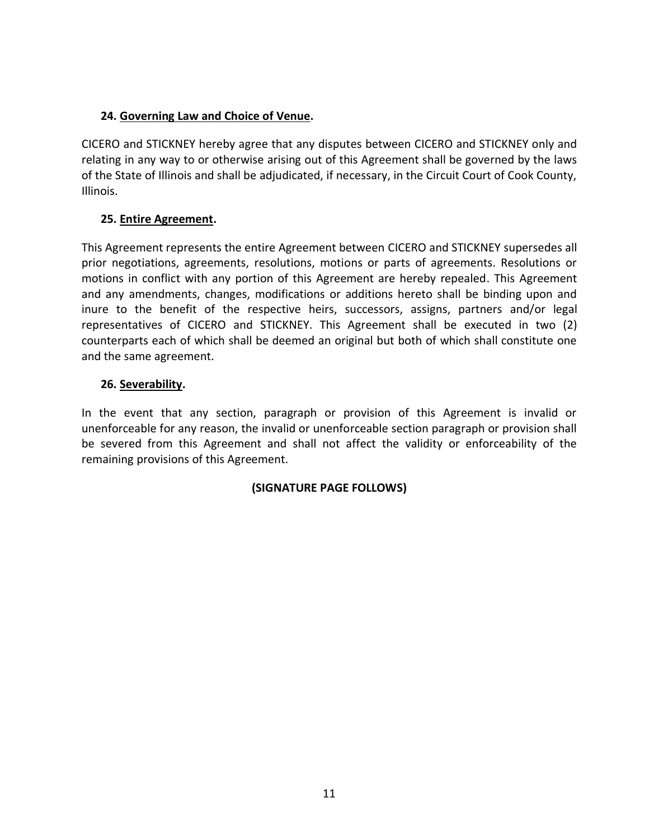# **24. Governing Law and Choice of Venue.**

CICERO and STICKNEY hereby agree that any disputes between CICERO and STICKNEY only and relating in any way to or otherwise arising out of this Agreement shall be governed by the laws of the State of Illinois and shall be adjudicated, if necessary, in the Circuit Court of Cook County, Illinois.

# **25. Entire Agreement.**

This Agreement represents the entire Agreement between CICERO and STICKNEY supersedes all prior negotiations, agreements, resolutions, motions or parts of agreements. Resolutions or motions in conflict with any portion of this Agreement are hereby repealed. This Agreement and any amendments, changes, modifications or additions hereto shall be binding upon and inure to the benefit of the respective heirs, successors, assigns, partners and/or legal representatives of CICERO and STICKNEY. This Agreement shall be executed in two (2) counterparts each of which shall be deemed an original but both of which shall constitute one and the same agreement.

# **26. Severability.**

In the event that any section, paragraph or provision of this Agreement is invalid or unenforceable for any reason, the invalid or unenforceable section paragraph or provision shall be severed from this Agreement and shall not affect the validity or enforceability of the remaining provisions of this Agreement.

## **(SIGNATURE PAGE FOLLOWS)**